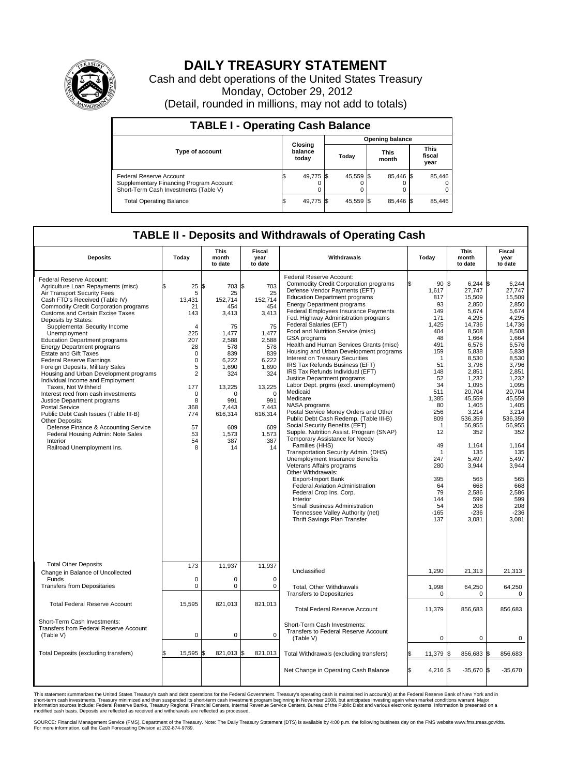

## **DAILY TREASURY STATEMENT**

Cash and debt operations of the United States Treasury Monday, October 29, 2012 (Detail, rounded in millions, may not add to totals)

| <b>TABLE I - Operating Cash Balance</b>                                                                            |                             |        |                        |           |                      |           |                               |        |  |  |
|--------------------------------------------------------------------------------------------------------------------|-----------------------------|--------|------------------------|-----------|----------------------|-----------|-------------------------------|--------|--|--|
|                                                                                                                    | Closing<br>balance<br>today |        | <b>Opening balance</b> |           |                      |           |                               |        |  |  |
| <b>Type of account</b>                                                                                             |                             |        | Today                  |           | <b>This</b><br>month |           | <b>This</b><br>fiscal<br>year |        |  |  |
| <b>Federal Reserve Account</b><br>Supplementary Financing Program Account<br>Short-Term Cash Investments (Table V) | S,                          | 49,775 |                        | 45,559 \$ |                      | 85,446 \$ |                               | 85,446 |  |  |
| <b>Total Operating Balance</b>                                                                                     | ß.                          | 49,775 |                        | 45,559 \$ |                      | 85,446 \$ |                               | 85,446 |  |  |

## **TABLE II - Deposits and Withdrawals of Operating Cash**

| <b>Deposits</b>                                                                                                                                                                                                                                                                                                                                                                                                                                                                                                                                                                                                                                                                                                                                                                                                                                                              | Today                                                                                                                                                                                 | <b>This</b><br>month<br>to date                                                                                                                                                             | <b>Fiscal</b><br>year<br>to date                                                                                                                                                  | Withdrawals                                                                                                                                                                                                                                                                                                                                                                                                                                                                                                                                                                                                                                                                                                                                                                                                                                                                                                                                                                                                                                                                                                                                                                                                                                 | Today                                                                                                                                                                                                                                | <b>This</b><br>month<br>to date                                                                                                                                                                                                                                                                                  | <b>Fiscal</b><br>year<br>to date                                                                                                                                                                                                                                                                            |  |  |
|------------------------------------------------------------------------------------------------------------------------------------------------------------------------------------------------------------------------------------------------------------------------------------------------------------------------------------------------------------------------------------------------------------------------------------------------------------------------------------------------------------------------------------------------------------------------------------------------------------------------------------------------------------------------------------------------------------------------------------------------------------------------------------------------------------------------------------------------------------------------------|---------------------------------------------------------------------------------------------------------------------------------------------------------------------------------------|---------------------------------------------------------------------------------------------------------------------------------------------------------------------------------------------|-----------------------------------------------------------------------------------------------------------------------------------------------------------------------------------|---------------------------------------------------------------------------------------------------------------------------------------------------------------------------------------------------------------------------------------------------------------------------------------------------------------------------------------------------------------------------------------------------------------------------------------------------------------------------------------------------------------------------------------------------------------------------------------------------------------------------------------------------------------------------------------------------------------------------------------------------------------------------------------------------------------------------------------------------------------------------------------------------------------------------------------------------------------------------------------------------------------------------------------------------------------------------------------------------------------------------------------------------------------------------------------------------------------------------------------------|--------------------------------------------------------------------------------------------------------------------------------------------------------------------------------------------------------------------------------------|------------------------------------------------------------------------------------------------------------------------------------------------------------------------------------------------------------------------------------------------------------------------------------------------------------------|-------------------------------------------------------------------------------------------------------------------------------------------------------------------------------------------------------------------------------------------------------------------------------------------------------------|--|--|
| Federal Reserve Account:<br>Agriculture Loan Repayments (misc)<br>Air Transport Security Fees<br>Cash FTD's Received (Table IV)<br><b>Commodity Credit Corporation programs</b><br><b>Customs and Certain Excise Taxes</b><br>Deposits by States:<br>Supplemental Security Income<br>Unemployment<br><b>Education Department programs</b><br><b>Energy Department programs</b><br><b>Estate and Gift Taxes</b><br><b>Federal Reserve Earnings</b><br>Foreign Deposits, Military Sales<br>Housing and Urban Development programs<br>Individual Income and Employment<br>Taxes, Not Withheld<br>Interest recd from cash investments<br>Justice Department programs<br><b>Postal Service</b><br>Public Debt Cash Issues (Table III-B)<br>Other Deposits:<br>Defense Finance & Accounting Service<br>Federal Housing Admin: Note Sales<br>Interior<br>Railroad Unemployment Ins. | \$<br>25<br>5<br>13,431<br>21<br>143<br>$\overline{4}$<br>225<br>207<br>28<br>$\mathbf 0$<br>0<br>5<br>$\overline{2}$<br>177<br>$\mathbf 0$<br>8<br>368<br>774<br>57<br>53<br>54<br>8 | 703 \$<br>l\$<br>25<br>152,714<br>454<br>3,413<br>75<br>1,477<br>2,588<br>578<br>839<br>6,222<br>1.690<br>324<br>13,225<br>$\Omega$<br>991<br>7,443<br>616,314<br>609<br>1.573<br>387<br>14 | 703<br>25<br>152,714<br>454<br>3,413<br>75<br>1.477<br>2,588<br>578<br>839<br>6,222<br>1.690<br>324<br>13,225<br>$\Omega$<br>991<br>7,443<br>616,314<br>609<br>1.573<br>387<br>14 | Federal Reserve Account:<br><b>Commodity Credit Corporation programs</b><br>Defense Vendor Payments (EFT)<br><b>Education Department programs</b><br><b>Energy Department programs</b><br>Federal Employees Insurance Payments<br>Fed. Highway Administration programs<br>Federal Salaries (EFT)<br>Food and Nutrition Service (misc)<br>GSA programs<br>Health and Human Services Grants (misc)<br>Housing and Urban Development programs<br>Interest on Treasury Securities<br>IRS Tax Refunds Business (EFT)<br>IRS Tax Refunds Individual (EFT)<br>Justice Department programs<br>Labor Dept. prgms (excl. unemployment)<br>Medicaid<br>Medicare<br>NASA programs<br>Postal Service Money Orders and Other<br>Public Debt Cash Redemp. (Table III-B)<br>Social Security Benefits (EFT)<br>Supple. Nutrition Assist. Program (SNAP)<br>Temporary Assistance for Needy<br>Families (HHS)<br>Transportation Security Admin. (DHS)<br>Unemployment Insurance Benefits<br>Veterans Affairs programs<br>Other Withdrawals:<br><b>Export-Import Bank</b><br><b>Federal Aviation Administration</b><br>Federal Crop Ins. Corp.<br>Interior<br>Small Business Administration<br>Tennessee Valley Authority (net)<br>Thrift Savings Plan Transfer | 90 \$<br>1,617<br>817<br>93<br>149<br>171<br>1.425<br>404<br>48<br>491<br>159<br>1<br>51<br>148<br>52<br>34<br>511<br>1,385<br>80<br>256<br>809<br>1<br>12<br>49<br>1<br>247<br>280<br>395<br>64<br>79<br>144<br>54<br>$-165$<br>137 | $6,244$ \$<br>27,747<br>15,509<br>2,850<br>5,674<br>4,295<br>14,736<br>8,508<br>1,664<br>6,576<br>5,838<br>8,530<br>3,796<br>2,851<br>1,232<br>1.095<br>20,704<br>45,559<br>1,405<br>3,214<br>536,359<br>56,955<br>352<br>1,164<br>135<br>5,497<br>3,944<br>565<br>668<br>2,586<br>599<br>208<br>$-236$<br>3,081 | 6,244<br>27.747<br>15,509<br>2,850<br>5,674<br>4,295<br>14,736<br>8,508<br>1,664<br>6,576<br>5,838<br>8,530<br>3,796<br>2,851<br>1,232<br>1.095<br>20,704<br>45,559<br>1,405<br>3,214<br>536,359<br>56,955<br>352<br>1,164<br>135<br>5,497<br>3,944<br>565<br>668<br>2,586<br>599<br>208<br>$-236$<br>3,081 |  |  |
| <b>Total Other Deposits</b><br>Change in Balance of Uncollected                                                                                                                                                                                                                                                                                                                                                                                                                                                                                                                                                                                                                                                                                                                                                                                                              | 173                                                                                                                                                                                   | 11,937                                                                                                                                                                                      | 11,937                                                                                                                                                                            | Unclassified                                                                                                                                                                                                                                                                                                                                                                                                                                                                                                                                                                                                                                                                                                                                                                                                                                                                                                                                                                                                                                                                                                                                                                                                                                | 1,290                                                                                                                                                                                                                                | 21,313                                                                                                                                                                                                                                                                                                           | 21,313                                                                                                                                                                                                                                                                                                      |  |  |
| Funds<br><b>Transfers from Depositaries</b>                                                                                                                                                                                                                                                                                                                                                                                                                                                                                                                                                                                                                                                                                                                                                                                                                                  | $\mathbf 0$<br>0                                                                                                                                                                      | $\mathbf 0$<br>$\mathbf 0$                                                                                                                                                                  | $\Omega$<br>$\mathbf 0$                                                                                                                                                           | Total, Other Withdrawals<br><b>Transfers to Depositaries</b>                                                                                                                                                                                                                                                                                                                                                                                                                                                                                                                                                                                                                                                                                                                                                                                                                                                                                                                                                                                                                                                                                                                                                                                | 1,998<br>0                                                                                                                                                                                                                           | 64,250<br>0                                                                                                                                                                                                                                                                                                      | 64,250<br>0                                                                                                                                                                                                                                                                                                 |  |  |
| <b>Total Federal Reserve Account</b>                                                                                                                                                                                                                                                                                                                                                                                                                                                                                                                                                                                                                                                                                                                                                                                                                                         | 15,595                                                                                                                                                                                | 821,013                                                                                                                                                                                     | 821,013                                                                                                                                                                           | <b>Total Federal Reserve Account</b>                                                                                                                                                                                                                                                                                                                                                                                                                                                                                                                                                                                                                                                                                                                                                                                                                                                                                                                                                                                                                                                                                                                                                                                                        | 11,379                                                                                                                                                                                                                               | 856,683                                                                                                                                                                                                                                                                                                          | 856,683                                                                                                                                                                                                                                                                                                     |  |  |
| Short-Term Cash Investments:<br>Transfers from Federal Reserve Account<br>(Table V)                                                                                                                                                                                                                                                                                                                                                                                                                                                                                                                                                                                                                                                                                                                                                                                          | $\mathbf 0$                                                                                                                                                                           | $\mathbf 0$                                                                                                                                                                                 | $\mathbf 0$                                                                                                                                                                       | Short-Term Cash Investments:<br>Transfers to Federal Reserve Account<br>(Table V)                                                                                                                                                                                                                                                                                                                                                                                                                                                                                                                                                                                                                                                                                                                                                                                                                                                                                                                                                                                                                                                                                                                                                           | $\mathbf 0$                                                                                                                                                                                                                          | 0                                                                                                                                                                                                                                                                                                                | 0                                                                                                                                                                                                                                                                                                           |  |  |
| Total Deposits (excluding transfers)                                                                                                                                                                                                                                                                                                                                                                                                                                                                                                                                                                                                                                                                                                                                                                                                                                         | 15,595 \$                                                                                                                                                                             | 821,013                                                                                                                                                                                     | \$<br>821,013                                                                                                                                                                     | Total Withdrawals (excluding transfers)                                                                                                                                                                                                                                                                                                                                                                                                                                                                                                                                                                                                                                                                                                                                                                                                                                                                                                                                                                                                                                                                                                                                                                                                     | 11,379 \$                                                                                                                                                                                                                            | 856,683 \$                                                                                                                                                                                                                                                                                                       | 856,683                                                                                                                                                                                                                                                                                                     |  |  |
|                                                                                                                                                                                                                                                                                                                                                                                                                                                                                                                                                                                                                                                                                                                                                                                                                                                                              |                                                                                                                                                                                       |                                                                                                                                                                                             |                                                                                                                                                                                   | Net Change in Operating Cash Balance                                                                                                                                                                                                                                                                                                                                                                                                                                                                                                                                                                                                                                                                                                                                                                                                                                                                                                                                                                                                                                                                                                                                                                                                        | l\$<br>$4,216$ \$                                                                                                                                                                                                                    | $-35,670$ \$                                                                                                                                                                                                                                                                                                     | $-35,670$                                                                                                                                                                                                                                                                                                   |  |  |

This statement summarizes the United States Treasury's cash and debt operations for the Federal Government. Treasury's operating cash is maintained in account(s) at the Federal Reserve Bank of New York and in<br>short-term ca

SOURCE: Financial Management Service (FMS), Department of the Treasury. Note: The Daily Treasury Statement (DTS) is available by 4:00 p.m. the following business day on the FMS website www.fms.treas.gov/dts.<br>For more infor